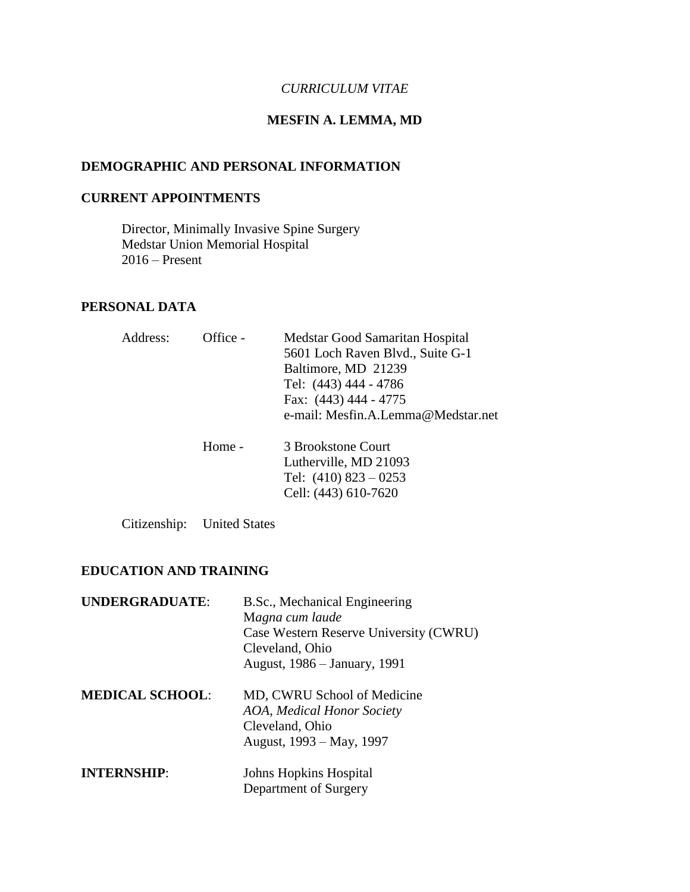### *CURRICULUM VITAE*

# **MESFIN A. LEMMA, MD**

# **DEMOGRAPHIC AND PERSONAL INFORMATION**

#### **CURRENT APPOINTMENTS**

Director, Minimally Invasive Spine Surgery Medstar Union Memorial Hospital 2016 – Present

## **PERSONAL DATA**

| Address: | Office - | Medstar Good Samaritan Hospital<br>5601 Loch Raven Blvd., Suite G-1<br>Baltimore, MD 21239<br>Tel: (443) 444 - 4786<br>Fax: (443) 444 - 4775<br>e-mail: Mesfin.A.Lemma@Medstar.net |
|----------|----------|------------------------------------------------------------------------------------------------------------------------------------------------------------------------------------|
|          | Home -   | 3 Brookstone Court<br>Lutherville, MD 21093<br>Tel: $(410)$ 823 - 0253<br>Cell: (443) 610-7620                                                                                     |

Citizenship: United States

## **EDUCATION AND TRAINING**

| <b>UNDERGRADUATE:</b>  | B.Sc., Mechanical Engineering<br>Magna cum laude<br>Case Western Reserve University (CWRU)<br>Cleveland, Ohio<br>August, 1986 – January, 1991 |
|------------------------|-----------------------------------------------------------------------------------------------------------------------------------------------|
| <b>MEDICAL SCHOOL:</b> | MD, CWRU School of Medicine<br><b>AOA, Medical Honor Society</b><br>Cleveland, Ohio<br>August, 1993 – May, 1997                               |
| <b>INTERNSHIP:</b>     | <b>Johns Hopkins Hospital</b><br>Department of Surgery                                                                                        |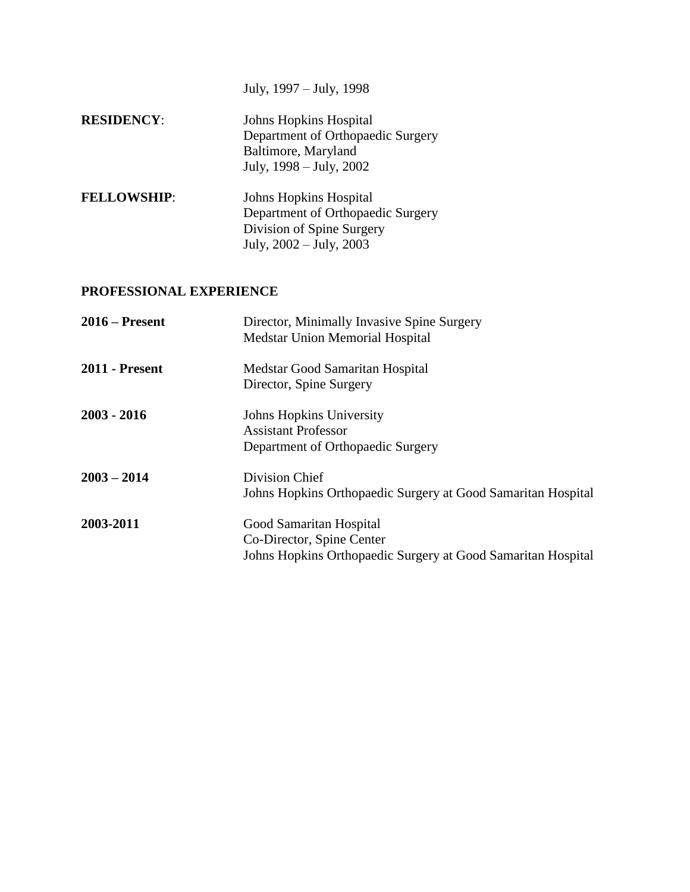July, 1997 – July, 1998

| <b>RESIDENCY:</b>  | <b>Johns Hopkins Hospital</b><br>Department of Orthopaedic Surgery<br>Baltimore, Maryland<br>July, 1998 – July, 2002       |
|--------------------|----------------------------------------------------------------------------------------------------------------------------|
| <b>FELLOWSHIP:</b> | <b>Johns Hopkins Hospital</b><br>Department of Orthopaedic Surgery<br>Division of Spine Surgery<br>July, 2002 - July, 2003 |

# **PROFESSIONAL EXPERIENCE**

| $2016$ – Present      | Director, Minimally Invasive Spine Surgery<br><b>Medstar Union Memorial Hospital</b>                                 |
|-----------------------|----------------------------------------------------------------------------------------------------------------------|
| <b>2011 - Present</b> | Medstar Good Samaritan Hospital<br>Director, Spine Surgery                                                           |
| $2003 - 2016$         | Johns Hopkins University<br><b>Assistant Professor</b><br>Department of Orthopaedic Surgery                          |
| $2003 - 2014$         | Division Chief<br>Johns Hopkins Orthopaedic Surgery at Good Samaritan Hospital                                       |
| 2003-2011             | Good Samaritan Hospital<br>Co-Director, Spine Center<br>Johns Hopkins Orthopaedic Surgery at Good Samaritan Hospital |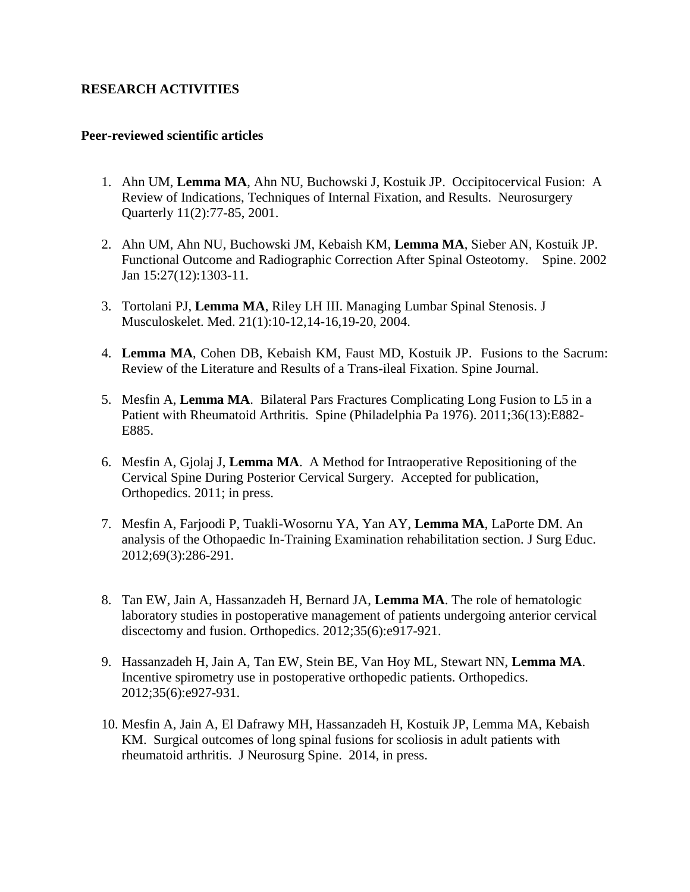### **RESEARCH ACTIVITIES**

#### **Peer-reviewed scientific articles**

- 1. Ahn UM, **Lemma MA**, Ahn NU, Buchowski J, Kostuik JP. Occipitocervical Fusion: A Review of Indications, Techniques of Internal Fixation, and Results. Neurosurgery Quarterly 11(2):77-85, 2001.
- 2. Ahn UM, Ahn NU, Buchowski JM, Kebaish KM, **Lemma MA**, Sieber AN, Kostuik JP. Functional Outcome and Radiographic Correction After Spinal Osteotomy. Spine. 2002 Jan 15:27(12):1303-11.
- 3. Tortolani PJ, **Lemma MA**, Riley LH III. Managing Lumbar Spinal Stenosis. J Musculoskelet. Med. 21(1):10-12,14-16,19-20, 2004.
- 4. **Lemma MA**, Cohen DB, Kebaish KM, Faust MD, Kostuik JP. Fusions to the Sacrum: Review of the Literature and Results of a Trans-ileal Fixation. Spine Journal.
- 5. Mesfin A, **Lemma MA**. Bilateral Pars Fractures Complicating Long Fusion to L5 in a Patient with Rheumatoid Arthritis. Spine (Philadelphia Pa 1976). 2011;36(13):E882- E885.
- 6. Mesfin A, Gjolaj J, **Lemma MA**. A Method for Intraoperative Repositioning of the Cervical Spine During Posterior Cervical Surgery. Accepted for publication, Orthopedics. 2011; in press.
- 7. Mesfin A, Farjoodi P, Tuakli-Wosornu YA, Yan AY, **Lemma MA**, LaPorte DM. An analysis of the Othopaedic In-Training Examination rehabilitation section. J Surg Educ. 2012;69(3):286-291.
- 8. Tan EW, Jain A, Hassanzadeh H, Bernard JA, **Lemma MA**. The role of hematologic laboratory studies in postoperative management of patients undergoing anterior cervical discectomy and fusion. Orthopedics. 2012;35(6):e917-921.
- 9. Hassanzadeh H, Jain A, Tan EW, Stein BE, Van Hoy ML, Stewart NN, **Lemma MA**. Incentive spirometry use in postoperative orthopedic patients. Orthopedics. 2012;35(6):e927-931.
- 10. Mesfin A, Jain A, El Dafrawy MH, Hassanzadeh H, Kostuik JP, Lemma MA, Kebaish KM. Surgical outcomes of long spinal fusions for scoliosis in adult patients with rheumatoid arthritis. J Neurosurg Spine. 2014, in press.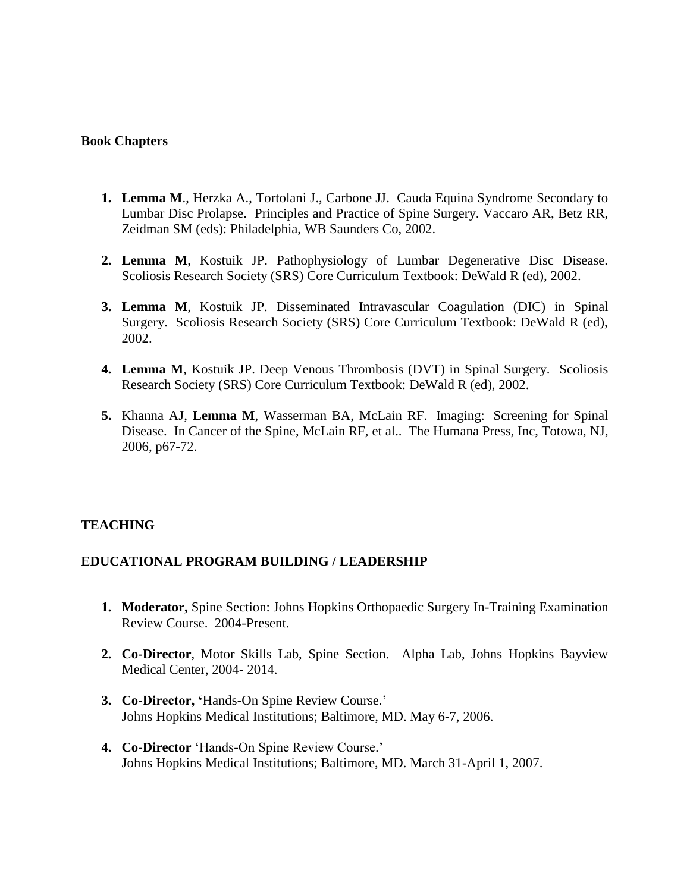#### **Book Chapters**

- **1. Lemma M**., Herzka A., Tortolani J., Carbone JJ. Cauda Equina Syndrome Secondary to Lumbar Disc Prolapse. Principles and Practice of Spine Surgery. Vaccaro AR, Betz RR, Zeidman SM (eds): Philadelphia, WB Saunders Co, 2002.
- **2. Lemma M**, Kostuik JP. Pathophysiology of Lumbar Degenerative Disc Disease. Scoliosis Research Society (SRS) Core Curriculum Textbook: DeWald R (ed), 2002.
- **3. Lemma M**, Kostuik JP. Disseminated Intravascular Coagulation (DIC) in Spinal Surgery. Scoliosis Research Society (SRS) Core Curriculum Textbook: DeWald R (ed), 2002.
- **4. Lemma M**, Kostuik JP. Deep Venous Thrombosis (DVT) in Spinal Surgery. Scoliosis Research Society (SRS) Core Curriculum Textbook: DeWald R (ed), 2002.
- **5.** Khanna AJ, **Lemma M**, Wasserman BA, McLain RF. Imaging: Screening for Spinal Disease. In Cancer of the Spine, McLain RF, et al.. The Humana Press, Inc, Totowa, NJ, 2006, p67-72.

### **TEACHING**

### **EDUCATIONAL PROGRAM BUILDING / LEADERSHIP**

- **1. Moderator,** Spine Section: Johns Hopkins Orthopaedic Surgery In-Training Examination Review Course. 2004-Present.
- **2. Co-Director**, Motor Skills Lab, Spine Section. Alpha Lab, Johns Hopkins Bayview Medical Center, 2004- 2014.
- **3. Co-Director, '**Hands-On Spine Review Course.' Johns Hopkins Medical Institutions; Baltimore, MD. May 6-7, 2006.
- **4. Co-Director** 'Hands-On Spine Review Course.' Johns Hopkins Medical Institutions; Baltimore, MD. March 31-April 1, 2007.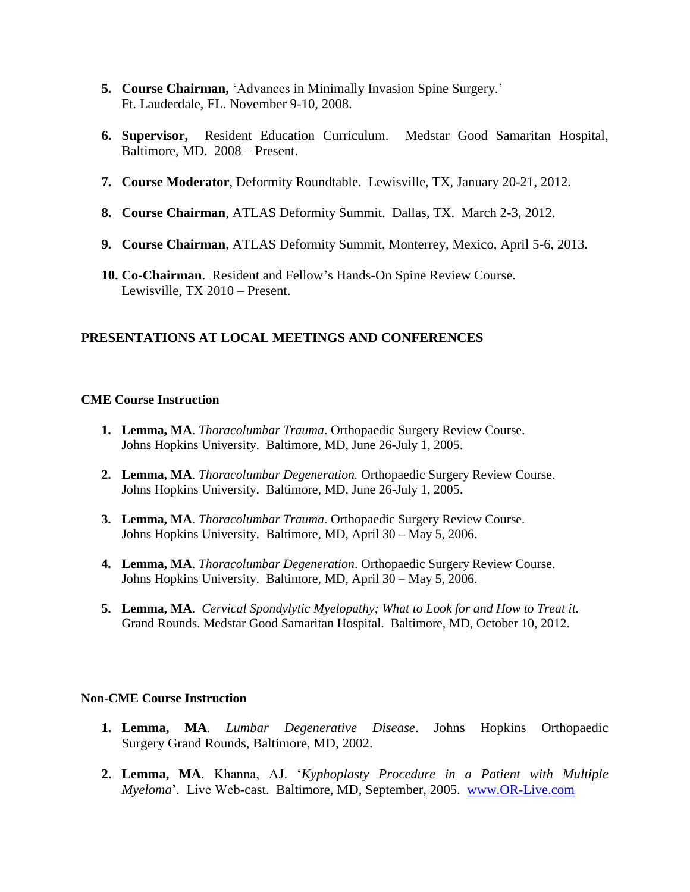- **5. Course Chairman,** 'Advances in Minimally Invasion Spine Surgery.' Ft. Lauderdale, FL. November 9-10, 2008.
- **6. Supervisor,** Resident Education Curriculum. Medstar Good Samaritan Hospital, Baltimore, MD. 2008 – Present.
- **7. Course Moderator**, Deformity Roundtable. Lewisville, TX, January 20-21, 2012.
- **8. Course Chairman**, ATLAS Deformity Summit. Dallas, TX. March 2-3, 2012.
- **9. Course Chairman**, ATLAS Deformity Summit, Monterrey, Mexico, April 5-6, 2013.
- **10. Co-Chairman**. Resident and Fellow's Hands-On Spine Review Course. Lewisville, TX 2010 – Present.

# **PRESENTATIONS AT LOCAL MEETINGS AND CONFERENCES**

#### **CME Course Instruction**

- **1. Lemma, MA**. *Thoracolumbar Trauma*. Orthopaedic Surgery Review Course. Johns Hopkins University. Baltimore, MD, June 26-July 1, 2005.
- **2. Lemma, MA**. *Thoracolumbar Degeneration.* Orthopaedic Surgery Review Course. Johns Hopkins University. Baltimore, MD, June 26-July 1, 2005.
- **3. Lemma, MA**. *Thoracolumbar Trauma*. Orthopaedic Surgery Review Course. Johns Hopkins University. Baltimore, MD, April 30 – May 5, 2006.
- **4. Lemma, MA**. *Thoracolumbar Degeneration*. Orthopaedic Surgery Review Course. Johns Hopkins University. Baltimore, MD, April 30 – May 5, 2006.
- **5. Lemma, MA**. *Cervical Spondylytic Myelopathy; What to Look for and How to Treat it.* Grand Rounds. Medstar Good Samaritan Hospital. Baltimore, MD, October 10, 2012.

#### **Non-CME Course Instruction**

- **1. Lemma, MA**. *Lumbar Degenerative Disease*. Johns Hopkins Orthopaedic Surgery Grand Rounds, Baltimore, MD, 2002.
- **2. Lemma, MA**. Khanna, AJ. '*Kyphoplasty Procedure in a Patient with Multiple Myeloma*'. Live Web-cast. Baltimore, MD, September, 2005. [www.OR-Live.com](http://www.or-live.com/)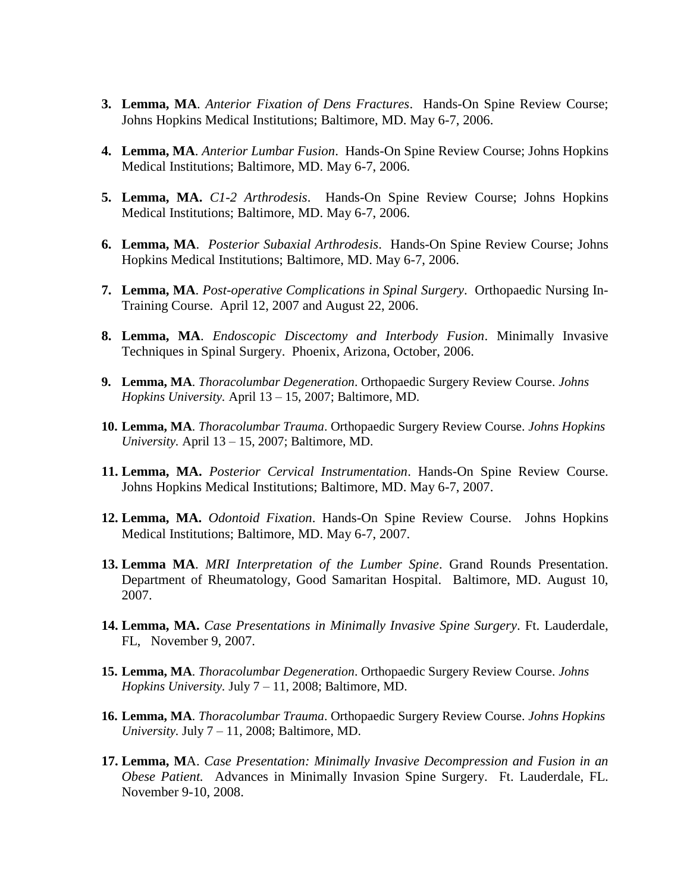- **3. Lemma, MA**. *Anterior Fixation of Dens Fractures*. Hands-On Spine Review Course; Johns Hopkins Medical Institutions; Baltimore, MD. May 6-7, 2006.
- **4. Lemma, MA**. *Anterior Lumbar Fusion*. Hands-On Spine Review Course; Johns Hopkins Medical Institutions; Baltimore, MD. May 6-7, 2006.
- **5. Lemma, MA.** *C1-2 Arthrodesis*. Hands-On Spine Review Course; Johns Hopkins Medical Institutions; Baltimore, MD. May 6-7, 2006.
- **6. Lemma, MA**. *Posterior Subaxial Arthrodesis*. Hands-On Spine Review Course; Johns Hopkins Medical Institutions; Baltimore, MD. May 6-7, 2006.
- **7. Lemma, MA**. *Post-operative Complications in Spinal Surgery*. Orthopaedic Nursing In-Training Course. April 12, 2007 and August 22, 2006.
- **8. Lemma, MA**. *Endoscopic Discectomy and Interbody Fusion*. Minimally Invasive Techniques in Spinal Surgery. Phoenix, Arizona, October, 2006.
- **9. Lemma, MA**. *Thoracolumbar Degeneration*. Orthopaedic Surgery Review Course. *Johns Hopkins University.* April 13 – 15, 2007; Baltimore, MD.
- **10. Lemma, MA**. *Thoracolumbar Trauma*. Orthopaedic Surgery Review Course. *Johns Hopkins University.* April 13 – 15, 2007; Baltimore, MD.
- **11. Lemma, MA.** *Posterior Cervical Instrumentation*. Hands-On Spine Review Course. Johns Hopkins Medical Institutions; Baltimore, MD. May 6-7, 2007.
- **12. Lemma, MA.** *Odontoid Fixation*. Hands-On Spine Review Course. Johns Hopkins Medical Institutions; Baltimore, MD. May 6-7, 2007.
- **13. Lemma MA**. *MRI Interpretation of the Lumber Spine*. Grand Rounds Presentation. Department of Rheumatology, Good Samaritan Hospital. Baltimore, MD. August 10, 2007.
- **14. Lemma, MA.** *Case Presentations in Minimally Invasive Spine Surgery*. Ft. Lauderdale, FL, November 9, 2007.
- **15. Lemma, MA**. *Thoracolumbar Degeneration*. Orthopaedic Surgery Review Course. *Johns Hopkins University.* July 7 – 11, 2008; Baltimore, MD.
- **16. Lemma, MA**. *Thoracolumbar Trauma*. Orthopaedic Surgery Review Course. *Johns Hopkins University.* July 7 – 11, 2008; Baltimore, MD.
- **17. Lemma, M**A. *Case Presentation: Minimally Invasive Decompression and Fusion in an Obese Patient.* Advances in Minimally Invasion Spine Surgery. Ft. Lauderdale, FL. November 9-10, 2008.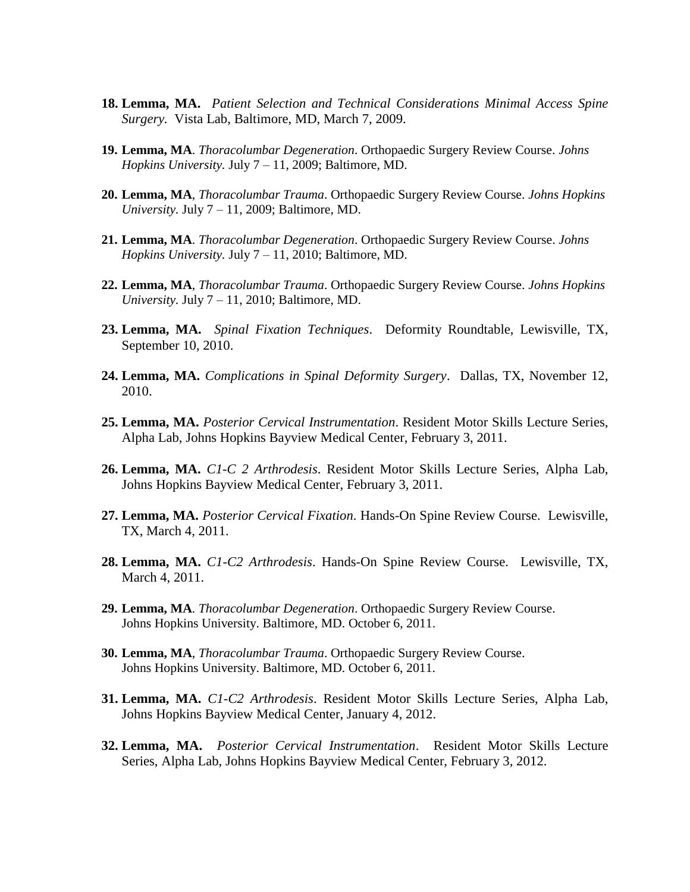- **18. Lemma, MA.** *Patient Selection and Technical Considerations Minimal Access Spine Surgery.* Vista Lab, Baltimore, MD, March 7, 2009.
- **19. Lemma, MA**. *Thoracolumbar Degeneration*. Orthopaedic Surgery Review Course. *Johns Hopkins University.* July 7 – 11, 2009; Baltimore, MD.
- **20. Lemma, MA**, *Thoracolumbar Trauma*. Orthopaedic Surgery Review Course. *Johns Hopkins University.* July 7 – 11, 2009; Baltimore, MD.
- **21. Lemma, MA**. *Thoracolumbar Degeneration*. Orthopaedic Surgery Review Course. *Johns Hopkins University.* July 7 – 11, 2010; Baltimore, MD.
- **22. Lemma, MA**, *Thoracolumbar Trauma*. Orthopaedic Surgery Review Course. *Johns Hopkins University.* July 7 – 11, 2010; Baltimore, MD.
- **23. Lemma, MA.** *Spinal Fixation Techniques*. Deformity Roundtable, Lewisville, TX, September 10, 2010.
- **24. Lemma, MA.** *Complications in Spinal Deformity Surgery*. Dallas, TX, November 12, 2010.
- **25. Lemma, MA.** *Posterior Cervical Instrumentation*. Resident Motor Skills Lecture Series, Alpha Lab, Johns Hopkins Bayview Medical Center, February 3, 2011.
- **26. Lemma, MA.** *C1-C 2 Arthrodesis*. Resident Motor Skills Lecture Series, Alpha Lab, Johns Hopkins Bayview Medical Center, February 3, 2011.
- **27. Lemma, MA.** *Posterior Cervical Fixation*. Hands-On Spine Review Course. Lewisville, TX, March 4, 2011.
- **28. Lemma, MA.** *C1-C2 Arthrodesis*. Hands-On Spine Review Course. Lewisville, TX, March 4, 2011.
- **29. Lemma, MA**. *Thoracolumbar Degeneration*. Orthopaedic Surgery Review Course. Johns Hopkins University. Baltimore, MD. October 6, 2011.
- **30. Lemma, MA**, *Thoracolumbar Trauma*. Orthopaedic Surgery Review Course. Johns Hopkins University. Baltimore, MD. October 6, 2011.
- **31. Lemma, MA.** *C1-C2 Arthrodesis*. Resident Motor Skills Lecture Series, Alpha Lab, Johns Hopkins Bayview Medical Center, January 4, 2012.
- **32. Lemma, MA.** *Posterior Cervical Instrumentation*. Resident Motor Skills Lecture Series, Alpha Lab, Johns Hopkins Bayview Medical Center, February 3, 2012.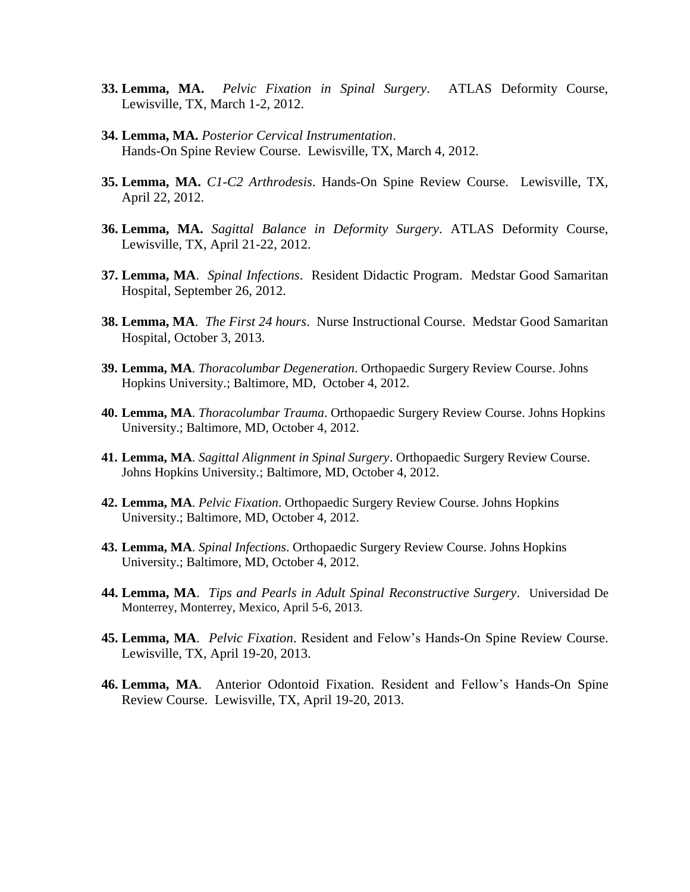- **33. Lemma, MA.** *Pelvic Fixation in Spinal Surgery*. ATLAS Deformity Course, Lewisville, TX, March 1-2, 2012.
- **34. Lemma, MA.** *Posterior Cervical Instrumentation*. Hands-On Spine Review Course. Lewisville, TX, March 4, 2012.
- **35. Lemma, MA.** *C1-C2 Arthrodesis*. Hands-On Spine Review Course. Lewisville, TX, April 22, 2012.
- **36. Lemma, MA.** *Sagittal Balance in Deformity Surgery*. ATLAS Deformity Course, Lewisville, TX, April 21-22, 2012.
- **37. Lemma, MA**. *Spinal Infections*. Resident Didactic Program. Medstar Good Samaritan Hospital, September 26, 2012.
- **38. Lemma, MA**. *The First 24 hours*. Nurse Instructional Course. Medstar Good Samaritan Hospital, October 3, 2013.
- **39. Lemma, MA**. *Thoracolumbar Degeneration*. Orthopaedic Surgery Review Course. Johns Hopkins University.; Baltimore, MD, October 4, 2012.
- **40. Lemma, MA**. *Thoracolumbar Trauma*. Orthopaedic Surgery Review Course. Johns Hopkins University.; Baltimore, MD, October 4, 2012.
- **41. Lemma, MA**. *Sagittal Alignment in Spinal Surgery*. Orthopaedic Surgery Review Course. Johns Hopkins University.; Baltimore, MD, October 4, 2012.
- **42. Lemma, MA**. *Pelvic Fixation*. Orthopaedic Surgery Review Course. Johns Hopkins University.; Baltimore, MD, October 4, 2012.
- **43. Lemma, MA**. *Spinal Infections*. Orthopaedic Surgery Review Course. Johns Hopkins University.; Baltimore, MD, October 4, 2012.
- **44. Lemma, MA**. *Tips and Pearls in Adult Spinal Reconstructive Surgery*. Universidad De Monterrey, Monterrey, Mexico, April 5-6, 2013.
- **45. Lemma, MA**. *Pelvic Fixation*. Resident and Felow's Hands-On Spine Review Course. Lewisville, TX, April 19-20, 2013.
- **46. Lemma, MA**. Anterior Odontoid Fixation. Resident and Fellow's Hands-On Spine Review Course. Lewisville, TX, April 19-20, 2013.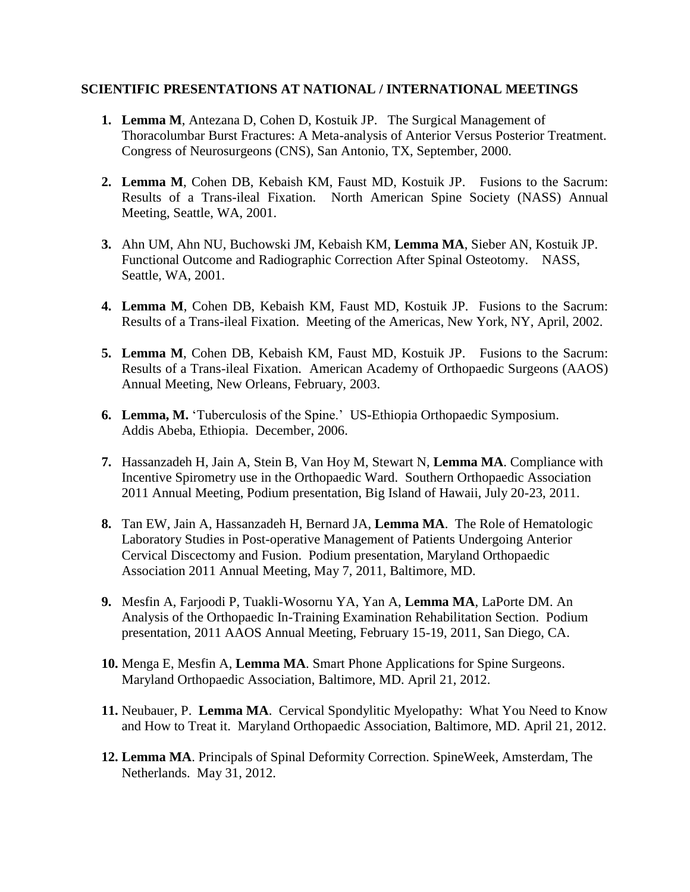### **SCIENTIFIC PRESENTATIONS AT NATIONAL / INTERNATIONAL MEETINGS**

- **1. Lemma M**, Antezana D, Cohen D, Kostuik JP. The Surgical Management of Thoracolumbar Burst Fractures: A Meta-analysis of Anterior Versus Posterior Treatment. Congress of Neurosurgeons (CNS), San Antonio, TX, September, 2000.
- **2. Lemma M**, Cohen DB, Kebaish KM, Faust MD, Kostuik JP. Fusions to the Sacrum: Results of a Trans-ileal Fixation. North American Spine Society (NASS) Annual Meeting, Seattle, WA, 2001.
- **3.** Ahn UM, Ahn NU, Buchowski JM, Kebaish KM, **Lemma MA**, Sieber AN, Kostuik JP. Functional Outcome and Radiographic Correction After Spinal Osteotomy. NASS, Seattle, WA, 2001.
- **4. Lemma M**, Cohen DB, Kebaish KM, Faust MD, Kostuik JP. Fusions to the Sacrum: Results of a Trans-ileal Fixation. Meeting of the Americas, New York, NY, April, 2002.
- **5. Lemma M**, Cohen DB, Kebaish KM, Faust MD, Kostuik JP. Fusions to the Sacrum: Results of a Trans-ileal Fixation. American Academy of Orthopaedic Surgeons (AAOS) Annual Meeting, New Orleans, February, 2003.
- **6. Lemma, M.** 'Tuberculosis of the Spine.' US-Ethiopia Orthopaedic Symposium. Addis Abeba, Ethiopia. December, 2006.
- **7.** Hassanzadeh H, Jain A, Stein B, Van Hoy M, Stewart N, **Lemma MA**. Compliance with Incentive Spirometry use in the Orthopaedic Ward. Southern Orthopaedic Association 2011 Annual Meeting, Podium presentation, Big Island of Hawaii, July 20-23, 2011.
- **8.** Tan EW, Jain A, Hassanzadeh H, Bernard JA, **Lemma MA**. The Role of Hematologic Laboratory Studies in Post-operative Management of Patients Undergoing Anterior Cervical Discectomy and Fusion. Podium presentation, Maryland Orthopaedic Association 2011 Annual Meeting, May 7, 2011, Baltimore, MD.
- **9.** Mesfin A, Farjoodi P, Tuakli-Wosornu YA, Yan A, **Lemma MA**, LaPorte DM. An Analysis of the Orthopaedic In-Training Examination Rehabilitation Section. Podium presentation, 2011 AAOS Annual Meeting, February 15-19, 2011, San Diego, CA.
- **10.** Menga E, Mesfin A, **Lemma MA**. Smart Phone Applications for Spine Surgeons. Maryland Orthopaedic Association, Baltimore, MD. April 21, 2012.
- **11.** Neubauer, P. **Lemma MA**. Cervical Spondylitic Myelopathy: What You Need to Know and How to Treat it. Maryland Orthopaedic Association, Baltimore, MD. April 21, 2012.
- **12. Lemma MA**. Principals of Spinal Deformity Correction. SpineWeek, Amsterdam, The Netherlands. May 31, 2012.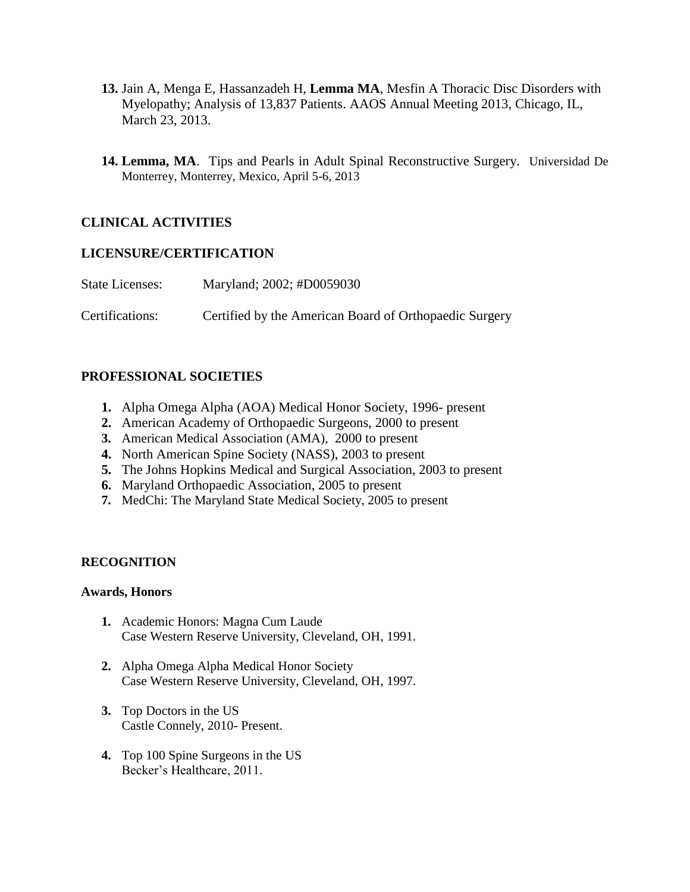- **13.** Jain A, Menga E, Hassanzadeh H, **Lemma MA**, Mesfin A Thoracic Disc Disorders with Myelopathy; Analysis of 13,837 Patients. AAOS Annual Meeting 2013, Chicago, IL, March 23, 2013.
- **14. Lemma, MA**. Tips and Pearls in Adult Spinal Reconstructive Surgery. Universidad De Monterrey, Monterrey, Mexico, April 5-6, 2013

# **CLINICAL ACTIVITIES**

### **LICENSURE/CERTIFICATION**

| <b>State Licenses:</b> | Maryland; 2002; #D0059030                              |
|------------------------|--------------------------------------------------------|
| Certifications:        | Certified by the American Board of Orthopaedic Surgery |

# **PROFESSIONAL SOCIETIES**

- **1.** Alpha Omega Alpha (AOA) Medical Honor Society, 1996- present
- **2.** American Academy of Orthopaedic Surgeons, 2000 to present
- **3.** American Medical Association (AMA), 2000 to present
- **4.** North American Spine Society (NASS), 2003 to present
- **5.** The Johns Hopkins Medical and Surgical Association, 2003 to present
- **6.** Maryland Orthopaedic Association, 2005 to present
- **7.** MedChi: The Maryland State Medical Society, 2005 to present

### **RECOGNITION**

### **Awards, Honors**

- **1.** Academic Honors: Magna Cum Laude Case Western Reserve University, Cleveland, OH, 1991.
- **2.** Alpha Omega Alpha Medical Honor Society Case Western Reserve University, Cleveland, OH, 1997.
- **3.** Top Doctors in the US Castle Connely, 2010- Present.
- **4.** Top 100 Spine Surgeons in the US Becker's Healthcare, 2011.